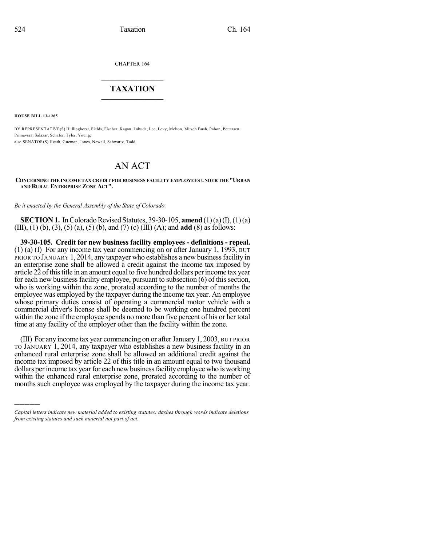CHAPTER 164

## $\mathcal{L}_\text{max}$  . The set of the set of the set of the set of the set of the set of the set of the set of the set of the set of the set of the set of the set of the set of the set of the set of the set of the set of the set **TAXATION**  $\_$

**HOUSE BILL 13-1265**

)))))

BY REPRESENTATIVE(S) Hullinghorst, Fields, Fischer, Kagan, Labuda, Lee, Levy, Melton, Mitsch Bush, Pabon, Pettersen, Primavera, Salazar, Schafer, Tyler, Young; also SENATOR(S) Heath, Guzman, Jones, Newell, Schwartz, Todd.

# AN ACT

**CONCERNING THE INCOME TAX CREDIT FOR BUSINESS FACILITY EMPLOYEES UNDER THE "URBAN AND RURAL ENTERPRISE ZONE ACT".**

*Be it enacted by the General Assembly of the State of Colorado:*

**SECTION 1.** In Colorado Revised Statutes, 39-30-105, **amend** (1)(a)(I), (1)(a) (III), (1) (b), (3), (5) (a), (5) (b), and (7) (c) (III) (A); and **add** (8) as follows:

**39-30-105. Credit for new business facility employees - definitions - repeal.** (1) (a) (I) For any income tax year commencing on or after January 1, 1993, BUT PRIOR TO JANUARY 1, 2014, any taxpayer who establishes a new business facility in an enterprise zone shall be allowed a credit against the income tax imposed by article 22 of this title in an amount equal to five hundred dollars per income tax year for each new business facility employee, pursuant to subsection (6) of this section, who is working within the zone, prorated according to the number of months the employee was employed by the taxpayer during the income tax year. An employee whose primary duties consist of operating a commercial motor vehicle with a commercial driver's license shall be deemed to be working one hundred percent within the zone if the employee spends no more than five percent of his or her total time at any facility of the employer other than the facility within the zone.

(III) For any income tax year commencing on or afterJanuary 1, 2003, BUT PRIOR TO JANUARY 1, 2014, any taxpayer who establishes a new business facility in an enhanced rural enterprise zone shall be allowed an additional credit against the income tax imposed by article 22 of this title in an amount equal to two thousand dollars per income tax year for each new business facility employee who is working within the enhanced rural enterprise zone, prorated according to the number of months such employee was employed by the taxpayer during the income tax year.

*Capital letters indicate new material added to existing statutes; dashes through words indicate deletions from existing statutes and such material not part of act.*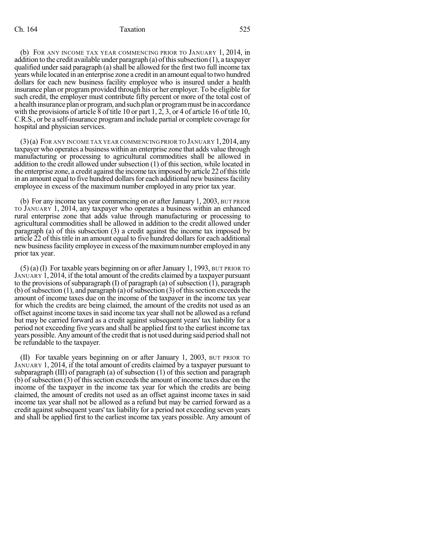(b) FOR ANY INCOME TAX YEAR COMMENCING PRIOR TO JANUARY 1, 2014, in addition to the credit available under paragraph (a) of this subsection  $(1)$ , a taxpayer qualified under said paragraph (a) shall be allowed for the first two full income tax years while located in an enterprise zone a credit in an amount equal to two hundred dollars for each new business facility employee who is insured under a health insurance plan or program provided through his or her employer. To be eligible for such credit, the employer must contribute fifty percent or more of the total cost of a health insurance plan or program, and such plan or programmust be in accordance with the provisions of article 8 of title 10 or part 1, 2, 3, or 4 of article 16 of title 10, C.R.S., or be a self-insurance programand include partial or complete coverage for hospital and physician services.

 $(3)$ (a) FOR ANY INCOME TAX YEAR COMMENCING PRIOR TO JANUARY 1, 2014, any taxpayer who operates a business within an enterprise zone that adds value through manufacturing or processing to agricultural commodities shall be allowed in addition to the credit allowed under subsection (1) of this section, while located in the enterprise zone, a credit against the income tax imposed by article 22 of this title in an amount equal to five hundred dollars for each additional new business facility employee in excess of the maximum number employed in any prior tax year.

(b) For any income tax year commencing on or afterJanuary 1, 2003, BUT PRIOR TO JANUARY 1, 2014, any taxpayer who operates a business within an enhanced rural enterprise zone that adds value through manufacturing or processing to agricultural commodities shall be allowed in addition to the credit allowed under paragraph (a) of this subsection (3) a credit against the income tax imposed by article 22 of this title in an amount equal to five hundred dollars for each additional new business facility employee in excess of the maximum number employed in any prior tax year.

 $(5)$  (a) (I) For taxable years beginning on or after January 1, 1993, BUT PRIOR TO JANUARY 1, 2014, if the total amount of the credits claimed by a taxpayer pursuant to the provisions of subparagraph (I) of paragraph (a) of subsection (1), paragraph (b) of subsection (1), and paragraph (a) of subsection (3) of this section exceeds the amount of income taxes due on the income of the taxpayer in the income tax year for which the credits are being claimed, the amount of the credits not used as an offset against income taxesin said income tax yearshall not be allowed as a refund but may be carried forward as a credit against subsequent years' tax liability for a period not exceeding five years and shall be applied first to the earliest income tax years possible. Any amount of the credit that is not used during said period shall not be refundable to the taxpayer.

(II) For taxable years beginning on or after January 1, 2003, BUT PRIOR TO JANUARY 1, 2014, if the total amount of credits claimed by a taxpayer pursuant to subparagraph (III) of paragraph (a) of subsection (1) of this section and paragraph  $(b)$  of subsection  $(3)$  of this section exceeds the amount of income taxes due on the income of the taxpayer in the income tax year for which the credits are being claimed, the amount of credits not used as an offset against income taxes in said income tax year shall not be allowed as a refund but may be carried forward as a credit against subsequent years' tax liability for a period not exceeding seven years and shall be applied first to the earliest income tax years possible. Any amount of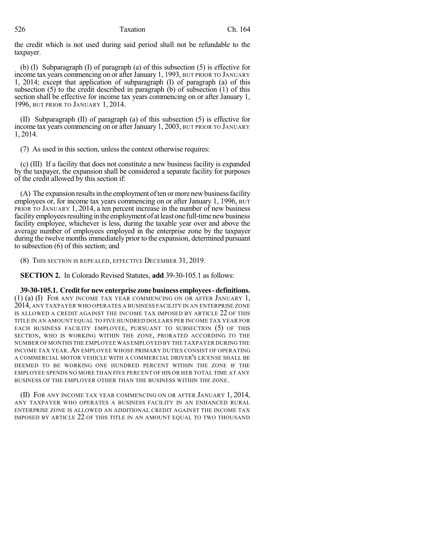the credit which is not used during said period shall not be refundable to the taxpayer.

(b) (I) Subparagraph (I) of paragraph (a) of this subsection (5) is effective for income tax years commencing on or after January 1, 1993, BUT PRIOR TO JANUARY 1, 2014; except that application of subparagraph (I) of paragraph (a) of this subsection (5) to the credit described in paragraph (b) of subsection (1) of this section shall be effective for income tax years commencing on or after January 1, 1996, BUT PRIOR TO JANUARY 1, 2014.

(II) Subparagraph (II) of paragraph (a) of this subsection (5) is effective for income tax years commencing on or after January 1, 2003, BUT PRIOR TO JANUARY 1, 2014.

(7) As used in this section, unless the context otherwise requires:

(c) (III) If a facility that does not constitute a new business facility is expanded by the taxpayer, the expansion shall be considered a separate facility for purposes of the credit allowed by this section if:

(A) The expansion results in the employment of ten or more new business facility employees or, for income tax years commencing on or after January 1, 1996, BUT PRIOR TO JANUARY 1, 2014, a ten percent increase in the number of new business facility employees resulting in the employment of at least one full-time new business facility employee, whichever is less, during the taxable year over and above the average number of employees employed in the enterprise zone by the taxpayer during the twelve months immediately prior to the expansion, determined pursuant to subsection (6) of this section; and

(8) THIS SECTION IS REPEALED, EFFECTIVE DECEMBER 31, 2019.

**SECTION 2.** In Colorado Revised Statutes, **add** 39-30-105.1 as follows:

**39-30-105.1. Creditfornewenterprise zonebusiness employees-definitions.** (1) (a) (I) FOR ANY INCOME TAX YEAR COMMENCING ON OR AFTER JANUARY 1, 2014, ANY TAXPAYER WHO OPERATES A BUSINESS FACILITY IN AN ENTERPRISE ZONE IS ALLOWED A CREDIT AGAINST THE INCOME TAX IMPOSED BY ARTICLE 22 OF THIS TITLE IN AN AMOUNT EQUAL TO FIVE HUNDRED DOLLARS PER INCOME TAX YEAR FOR EACH BUSINESS FACILITY EMPLOYEE, PURSUANT TO SUBSECTION (5) OF THIS SECTION, WHO IS WORKING WITHIN THE ZONE, PRORATED ACCORDING TO THE NUMBER OF MONTHS THE EMPLOYEE WAS EMPLOYED BY THE TAXPAYER DURING THE INCOME TAX YEAR. AN EMPLOYEE WHOSE PRIMARY DUTIES CONSIST OF OPERATING A COMMERCIAL MOTOR VEHICLE WITH A COMMERCIAL DRIVER'S LICENSE SHALL BE DEEMED TO BE WORKING ONE HUNDRED PERCENT WITHIN THE ZONE IF THE EMPLOYEE SPENDS NO MORE THAN FIVE PERCENT OF HIS OR HER TOTAL TIME AT ANY BUSINESS OF THE EMPLOYER OTHER THAN THE BUSINESS WITHIN THE ZONE.

(II) FOR ANY INCOME TAX YEAR COMMENCING ON OR AFTER JANUARY 1, 2014, ANY TAXPAYER WHO OPERATES A BUSINESS FACILITY IN AN ENHANCED RURAL ENTERPRISE ZONE IS ALLOWED AN ADDITIONAL CREDIT AGAINST THE INCOME TAX IMPOSED BY ARTICLE 22 OF THIS TITLE IN AN AMOUNT EQUAL TO TWO THOUSAND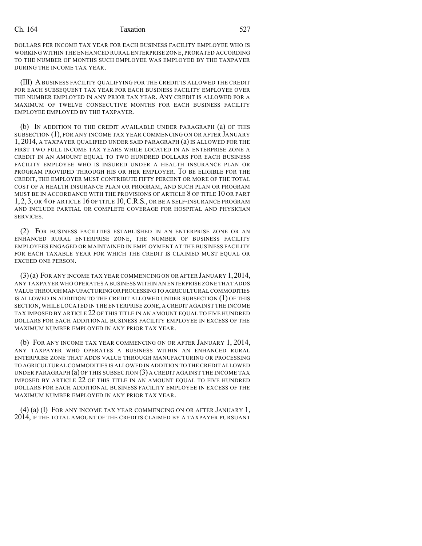#### Ch. 164 Taxation 527

DOLLARS PER INCOME TAX YEAR FOR EACH BUSINESS FACILITY EMPLOYEE WHO IS WORKING WITHIN THE ENHANCED RURAL ENTERPRISE ZONE, PRORATED ACCORDING TO THE NUMBER OF MONTHS SUCH EMPLOYEE WAS EMPLOYED BY THE TAXPAYER DURING THE INCOME TAX YEAR.

(III) ABUSINESS FACILITY QUALIFYING FOR THE CREDIT IS ALLOWED THE CREDIT FOR EACH SUBSEQUENT TAX YEAR FOR EACH BUSINESS FACILITY EMPLOYEE OVER THE NUMBER EMPLOYED IN ANY PRIOR TAX YEAR. ANY CREDIT IS ALLOWED FOR A MAXIMUM OF TWELVE CONSECUTIVE MONTHS FOR EACH BUSINESS FACILITY EMPLOYEE EMPLOYED BY THE TAXPAYER.

(b) IN ADDITION TO THE CREDIT AVAILABLE UNDER PARAGRAPH (a) OF THIS SUBSECTION (1), FOR ANY INCOME TAX YEAR COMMENCING ON OR AFTER JANUARY 1, 2014, A TAXPAYER QUALIFIED UNDER SAID PARAGRAPH (a) IS ALLOWED FOR THE FIRST TWO FULL INCOME TAX YEARS WHILE LOCATED IN AN ENTERPRISE ZONE A CREDIT IN AN AMOUNT EQUAL TO TWO HUNDRED DOLLARS FOR EACH BUSINESS FACILITY EMPLOYEE WHO IS INSURED UNDER A HEALTH INSURANCE PLAN OR PROGRAM PROVIDED THROUGH HIS OR HER EMPLOYER. TO BE ELIGIBLE FOR THE CREDIT, THE EMPLOYER MUST CONTRIBUTE FIFTY PERCENT OR MORE OF THE TOTAL COST OF A HEALTH INSURANCE PLAN OR PROGRAM, AND SUCH PLAN OR PROGRAM MUST BE IN ACCORDANCE WITH THE PROVISIONS OF ARTICLE 8 OF TITLE 10 OR PART 1, 2, 3, OR 4 OF ARTICLE 16 OF TITLE 10,C.R.S., OR BE A SELF-INSURANCE PROGRAM AND INCLUDE PARTIAL OR COMPLETE COVERAGE FOR HOSPITAL AND PHYSICIAN SERVICES.

(2) FOR BUSINESS FACILITIES ESTABLISHED IN AN ENTERPRISE ZONE OR AN ENHANCED RURAL ENTERPRISE ZONE, THE NUMBER OF BUSINESS FACILITY EMPLOYEES ENGAGED OR MAINTAINED IN EMPLOYMENT AT THE BUSINESS FACILITY FOR EACH TAXABLE YEAR FOR WHICH THE CREDIT IS CLAIMED MUST EQUAL OR EXCEED ONE PERSON.

(3)(a) FOR ANY INCOME TAX YEAR COMMENCING ON OR AFTER JANUARY 1,2014, ANY TAXPAYER WHO OPERATES A BUSINESS WITHIN AN ENTERPRISE ZONE THAT ADDS VALUE THROUGH MANUFACTURINGORPROCESSINGTO AGRICULTURALCOMMODITIES IS ALLOWED IN ADDITION TO THE CREDIT ALLOWED UNDER SUBSECTION (1) OF THIS SECTION, WHILE LOCATED IN THE ENTERPRISE ZONE, A CREDIT AGAINST THE INCOME TAX IMPOSED BY ARTICLE 22 OF THIS TITLE IN AN AMOUNT EQUAL TO FIVE HUNDRED DOLLARS FOR EACH ADDITIONAL BUSINESS FACILITY EMPLOYEE IN EXCESS OF THE MAXIMUM NUMBER EMPLOYED IN ANY PRIOR TAX YEAR.

(b) FOR ANY INCOME TAX YEAR COMMENCING ON OR AFTER JANUARY 1, 2014, ANY TAXPAYER WHO OPERATES A BUSINESS WITHIN AN ENHANCED RURAL ENTERPRISE ZONE THAT ADDS VALUE THROUGH MANUFACTURING OR PROCESSING TO AGRICULTURAL COMMODITIES IS ALLOWED IN ADDITION TO THE CREDIT ALLOWED UNDER PARAGRAPH  $(a)$  OF THIS SUBSECTION  $(3)$  A CREDIT AGAINST THE INCOME TAX IMPOSED BY ARTICLE 22 OF THIS TITLE IN AN AMOUNT EQUAL TO FIVE HUNDRED DOLLARS FOR EACH ADDITIONAL BUSINESS FACILITY EMPLOYEE IN EXCESS OF THE MAXIMUM NUMBER EMPLOYED IN ANY PRIOR TAX YEAR.

(4) (a) (I) FOR ANY INCOME TAX YEAR COMMENCING ON OR AFTER JANUARY 1, 2014, IF THE TOTAL AMOUNT OF THE CREDITS CLAIMED BY A TAXPAYER PURSUANT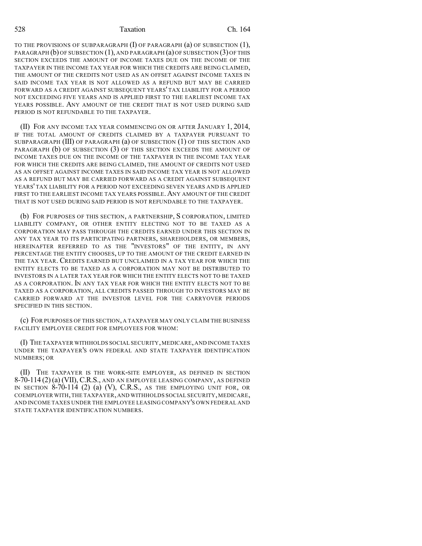#### 528 Taxation Ch. 164

TO THE PROVISIONS OF SUBPARAGRAPH (I) OF PARAGRAPH (a) OF SUBSECTION (1), PARAGRAPH (b) OF SUBSECTION (1), AND PARAGRAPH (a) OF SUBSECTION (3) OF THIS SECTION EXCEEDS THE AMOUNT OF INCOME TAXES DUE ON THE INCOME OF THE TAXPAYER IN THE INCOME TAX YEAR FOR WHICH THE CREDITS ARE BEING CLAIMED, THE AMOUNT OF THE CREDITS NOT USED AS AN OFFSET AGAINST INCOME TAXES IN SAID INCOME TAX YEAR IS NOT ALLOWED AS A REFUND BUT MAY BE CARRIED FORWARD AS A CREDIT AGAINST SUBSEQUENT YEARS' TAX LIABILITY FOR A PERIOD NOT EXCEEDING FIVE YEARS AND IS APPLIED FIRST TO THE EARLIEST INCOME TAX YEARS POSSIBLE. ANY AMOUNT OF THE CREDIT THAT IS NOT USED DURING SAID PERIOD IS NOT REFUNDABLE TO THE TAXPAYER.

(II) FOR ANY INCOME TAX YEAR COMMENCING ON OR AFTER JANUARY 1, 2014, IF THE TOTAL AMOUNT OF CREDITS CLAIMED BY A TAXPAYER PURSUANT TO SUBPARAGRAPH (III) OF PARAGRAPH (a) OF SUBSECTION (1) OF THIS SECTION AND PARAGRAPH (b) OF SUBSECTION (3) OF THIS SECTION EXCEEDS THE AMOUNT OF INCOME TAXES DUE ON THE INCOME OF THE TAXPAYER IN THE INCOME TAX YEAR FOR WHICH THE CREDITS ARE BEING CLAIMED, THE AMOUNT OF CREDITS NOT USED AS AN OFFSET AGAINST INCOME TAXES IN SAID INCOME TAX YEAR IS NOT ALLOWED AS A REFUND BUT MAY BE CARRIED FORWARD AS A CREDIT AGAINST SUBSEQUENT YEARS' TAX LIABILITY FOR A PERIOD NOT EXCEEDING SEVEN YEARS AND IS APPLIED FIRST TO THE EARLIEST INCOME TAX YEARS POSSIBLE. ANY AMOUNT OF THE CREDIT THAT IS NOT USED DURING SAID PERIOD IS NOT REFUNDABLE TO THE TAXPAYER.

(b) FOR PURPOSES OF THIS SECTION, A PARTNERSHIP, S CORPORATION, LIMITED LIABILITY COMPANY, OR OTHER ENTITY ELECTING NOT TO BE TAXED AS A CORPORATION MAY PASS THROUGH THE CREDITS EARNED UNDER THIS SECTION IN ANY TAX YEAR TO ITS PARTICIPATING PARTNERS, SHAREHOLDERS, OR MEMBERS, HEREINAFTER REFERRED TO AS THE "INVESTORS" OF THE ENTITY, IN ANY PERCENTAGE THE ENTITY CHOOSES, UP TO THE AMOUNT OF THE CREDIT EARNED IN THE TAX YEAR. CREDITS EARNED BUT UNCLAIMED IN A TAX YEAR FOR WHICH THE ENTITY ELECTS TO BE TAXED AS A CORPORATION MAY NOT BE DISTRIBUTED TO INVESTORS IN A LATER TAX YEAR FOR WHICH THE ENTITY ELECTS NOT TO BE TAXED AS A CORPORATION. IN ANY TAX YEAR FOR WHICH THE ENTITY ELECTS NOT TO BE TAXED AS A CORPORATION, ALL CREDITS PASSED THROUGH TO INVESTORS MAY BE CARRIED FORWARD AT THE INVESTOR LEVEL FOR THE CARRYOVER PERIODS SPECIFIED IN THIS SECTION.

(c) FOR PURPOSES OF THIS SECTION, A TAXPAYER MAY ONLY CLAIM THE BUSINESS FACILITY EMPLOYEE CREDIT FOR EMPLOYEES FOR WHOM:

(I) THE TAXPAYER WITHHOLDS SOCIAL SECURITY,MEDICARE,AND INCOME TAXES UNDER THE TAXPAYER'S OWN FEDERAL AND STATE TAXPAYER IDENTIFICATION NUMBERS; OR

(II) THE TAXPAYER IS THE WORK-SITE EMPLOYER, AS DEFINED IN SECTION  $8-70-114$  (2) (a) (VII), C.R.S., and an employee leasing company, as defined IN SECTION 8-70-114 (2) (a) (V), C.R.S., AS THE EMPLOYING UNIT FOR, OR COEMPLOYER WITH,THE TAXPAYER,AND WITHHOLDS SOCIAL SECURITY,MEDICARE, AND INCOME TAXES UNDER THE EMPLOYEE LEASING COMPANY'S OWN FEDERAL AND STATE TAXPAYER IDENTIFICATION NUMBERS.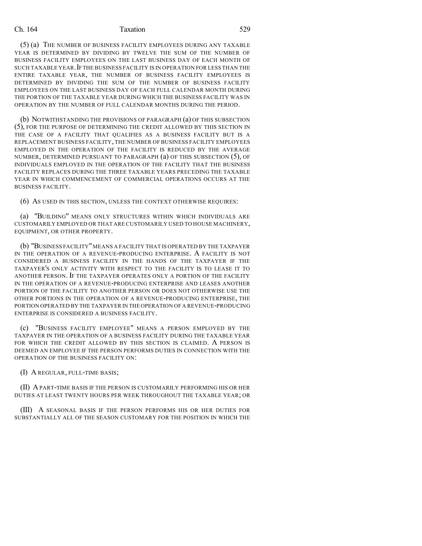### Ch. 164 Taxation 529

(5) (a) THE NUMBER OF BUSINESS FACILITY EMPLOYEES DURING ANY TAXABLE YEAR IS DETERMINED BY DIVIDING BY TWELVE THE SUM OF THE NUMBER OF BUSINESS FACILITY EMPLOYEES ON THE LAST BUSINESS DAY OF EACH MONTH OF SUCH TAXABLE YEAR.IFTHE BUSINESS FACILITY IS IN OPERATION FOR LESS THAN THE ENTIRE TAXABLE YEAR, THE NUMBER OF BUSINESS FACILITY EMPLOYEES IS DETERMINED BY DIVIDING THE SUM OF THE NUMBER OF BUSINESS FACILITY EMPLOYEES ON THE LAST BUSINESS DAY OF EACH FULL CALENDAR MONTH DURING THE PORTION OF THE TAXABLE YEAR DURING WHICH THE BUSINESS FACILITY WAS IN OPERATION BY THE NUMBER OF FULL CALENDAR MONTHS DURING THE PERIOD.

(b) NOTWITHSTANDING THE PROVISIONS OF PARAGRAPH (a) OF THIS SUBSECTION (5), FOR THE PURPOSE OF DETERMINING THE CREDIT ALLOWED BY THIS SECTION IN THE CASE OF A FACILITY THAT QUALIFIES AS A BUSINESS FACILITY BUT IS A REPLACEMENT BUSINESS FACILITY, THE NUMBER OF BUSINESS FACILITY EMPLOYEES EMPLOYED IN THE OPERATION OF THE FACILITY IS REDUCED BY THE AVERAGE NUMBER, DETERMINED PURSUANT TO PARAGRAPH (a) OF THIS SUBSECTION (5), OF INDIVIDUALS EMPLOYED IN THE OPERATION OF THE FACILITY THAT THE BUSINESS FACILITY REPLACES DURING THE THREE TAXABLE YEARS PRECEDING THE TAXABLE YEAR IN WHICH COMMENCEMENT OF COMMERCIAL OPERATIONS OCCURS AT THE BUSINESS FACILITY.

(6) AS USED IN THIS SECTION, UNLESS THE CONTEXT OTHERWISE REQUIRES:

(a) "BUILDING" MEANS ONLY STRUCTURES WITHIN WHICH INDIVIDUALS ARE CUSTOMARILY EMPLOYED OR THAT ARE CUSTOMARILY USED TO HOUSE MACHINERY, EQUIPMENT, OR OTHER PROPERTY.

(b) "BUSINESS FACILITY"MEANS A FACILITY THAT IS OPERATED BY THE TAXPAYER IN THE OPERATION OF A REVENUE-PRODUCING ENTERPRISE. A FACILITY IS NOT CONSIDERED A BUSINESS FACILITY IN THE HANDS OF THE TAXPAYER IF THE TAXPAYER'S ONLY ACTIVITY WITH RESPECT TO THE FACILITY IS TO LEASE IT TO ANOTHER PERSON. IF THE TAXPAYER OPERATES ONLY A PORTION OF THE FACILITY IN THE OPERATION OF A REVENUE-PRODUCING ENTERPRISE AND LEASES ANOTHER PORTION OF THE FACILITY TO ANOTHER PERSON OR DOES NOT OTHERWISE USE THE OTHER PORTIONS IN THE OPERATION OF A REVENUE-PRODUCING ENTERPRISE, THE PORTION OPERATED BY THE TAXPAYER IN THE OPERATION OF A REVENUE-PRODUCING ENTERPRISE IS CONSIDERED A BUSINESS FACILITY.

(c) "BUSINESS FACILITY EMPLOYEE" MEANS A PERSON EMPLOYED BY THE TAXPAYER IN THE OPERATION OF A BUSINESS FACILITY DURING THE TAXABLE YEAR FOR WHICH THE CREDIT ALLOWED BY THIS SECTION IS CLAIMED. A PERSON IS DEEMED AN EMPLOYEE IF THE PERSON PERFORMS DUTIES IN CONNECTION WITH THE OPERATION OF THE BUSINESS FACILITY ON:

(I) A REGULAR, FULL-TIME BASIS;

(II) APART-TIME BASIS IF THE PERSON IS CUSTOMARILY PERFORMING HIS OR HER DUTIES AT LEAST TWENTY HOURS PER WEEK THROUGHOUT THE TAXABLE YEAR; OR

(III) A SEASONAL BASIS IF THE PERSON PERFORMS HIS OR HER DUTIES FOR SUBSTANTIALLY ALL OF THE SEASON CUSTOMARY FOR THE POSITION IN WHICH THE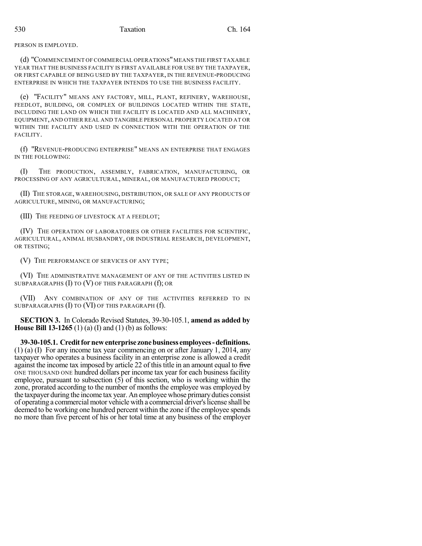PERSON IS EMPLOYED.

(d) "COMMENCEMENT OF COMMERCIAL OPERATIONS"MEANS THE FIRST TAXABLE YEAR THAT THE BUSINESS FACILITY IS FIRST AVAILABLE FOR USE BY THE TAXPAYER, OR FIRST CAPABLE OF BEING USED BY THE TAXPAYER, IN THE REVENUE-PRODUCING ENTERPRISE IN WHICH THE TAXPAYER INTENDS TO USE THE BUSINESS FACILITY.

(e) "FACILITY" MEANS ANY FACTORY, MILL, PLANT, REFINERY, WAREHOUSE, FEEDLOT, BUILDING, OR COMPLEX OF BUILDINGS LOCATED WITHIN THE STATE, INCLUDING THE LAND ON WHICH THE FACILITY IS LOCATED AND ALL MACHINERY, EQUIPMENT, AND OTHER REAL AND TANGIBLE PERSONAL PROPERTY LOCATED AT OR WITHIN THE FACILITY AND USED IN CONNECTION WITH THE OPERATION OF THE FACILITY.

(f) "REVENUE-PRODUCING ENTERPRISE" MEANS AN ENTERPRISE THAT ENGAGES IN THE FOLLOWING:

(I) THE PRODUCTION, ASSEMBLY, FABRICATION, MANUFACTURING, OR PROCESSING OF ANY AGRICULTURAL, MINERAL, OR MANUFACTURED PRODUCT;

(II) THE STORAGE, WAREHOUSING, DISTRIBUTION, OR SALE OF ANY PRODUCTS OF AGRICULTURE, MINING, OR MANUFACTURING;

(III) THE FEEDING OF LIVESTOCK AT A FEEDLOT;

(IV) THE OPERATION OF LABORATORIES OR OTHER FACILITIES FOR SCIENTIFIC, AGRICULTURAL, ANIMAL HUSBANDRY, OR INDUSTRIAL RESEARCH, DEVELOPMENT, OR TESTING;

(V) THE PERFORMANCE OF SERVICES OF ANY TYPE;

(VI) THE ADMINISTRATIVE MANAGEMENT OF ANY OF THE ACTIVITIES LISTED IN SUBPARAGRAPHS (I) TO (V) OF THIS PARAGRAPH (f); OR

(VII) ANY COMBINATION OF ANY OF THE ACTIVITIES REFERRED TO IN SUBPARAGRAPHS (I) TO (VI) OF THIS PARAGRAPH (f).

**SECTION 3.** In Colorado Revised Statutes, 39-30-105.1, **amend as added by House Bill 13-1265** (1) (a) (I) and (1) (b) as follows:

**39-30-105.1. Creditfornewenterprise zonebusiness employees-definitions.** (1) (a) (I) For any income tax year commencing on or after January 1, 2014, any taxpayer who operates a business facility in an enterprise zone is allowed a credit against the income tax imposed by article 22 of this title in an amount equal to  $f<sup>frac</sup>$ ONE THOUSAND ONE hundred dollars per income tax year for each business facility employee, pursuant to subsection (5) of this section, who is working within the zone, prorated according to the number of months the employee was employed by the taxpayer during the income tax year. An employee whose primaryduties consist of operating a commercial motor vehicle with a commercial driver'slicense shall be deemed to be working one hundred percent within the zone if the employee spends no more than five percent of his or her total time at any business of the employer